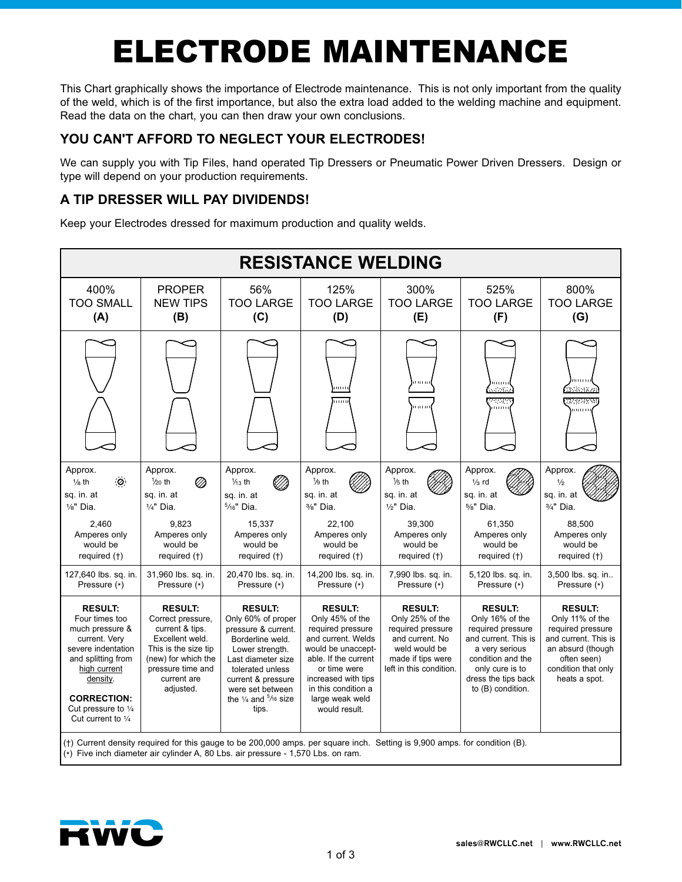# ELECTRODE MAINTENANCE

This Chart graphically shows the importance of Electrode maintenance. This is not only important from the quality of the weld, which is of the first importance, but also the extra load added to the welding machine and equipment. Read the data on the chart, you can then draw your own conclusions.

## **YOU CAN'T AFFORD TO NEGLECT YOUR ELECTRODES!**

We can supply you with Tip Files, hand operated Tip Dressers or Pneumatic Power Driven Dressers. Design or type will depend on your production requirements.

## **A TIP DRESSER WILL PAY DIVIDENDS!**

Keep your Electrodes dressed for maximum production and quality welds.

| <b>RESISTANCE WELDING</b>                                                                                                                                                                                                   |                                                                                                                                                                           |                                                                                                                                                                                                                                              |                                                                                                                                                                                                                              |                                                                                                                                            |                                                                                                                                                                                      |                                                                                                                                                            |
|-----------------------------------------------------------------------------------------------------------------------------------------------------------------------------------------------------------------------------|---------------------------------------------------------------------------------------------------------------------------------------------------------------------------|----------------------------------------------------------------------------------------------------------------------------------------------------------------------------------------------------------------------------------------------|------------------------------------------------------------------------------------------------------------------------------------------------------------------------------------------------------------------------------|--------------------------------------------------------------------------------------------------------------------------------------------|--------------------------------------------------------------------------------------------------------------------------------------------------------------------------------------|------------------------------------------------------------------------------------------------------------------------------------------------------------|
| 400%<br><b>TOO SMALL</b><br>(A)                                                                                                                                                                                             | <b>PROPER</b><br><b>NEW TIPS</b><br>(B)                                                                                                                                   | 56%<br><b>TOO LARGE</b><br>(C)                                                                                                                                                                                                               | 125%<br><b>TOO LARGE</b><br>(D)                                                                                                                                                                                              | 300%<br><b>TOO LARGE</b><br>(E)                                                                                                            | 525%<br><b>TOO LARGE</b><br>(F)                                                                                                                                                      | 800%<br><b>TOO LARGE</b><br>(G)                                                                                                                            |
|                                                                                                                                                                                                                             |                                                                                                                                                                           |                                                                                                                                                                                                                                              | o no<br>mm                                                                                                                                                                                                                   | mm<br>mini                                                                                                                                 | 111111<br>adenti<br>provin<br>mun                                                                                                                                                    | mini<br>.<br>Statistika<br>23236033<br>mini                                                                                                                |
| Approx.<br>$\langle \mathcal{O} \rangle$<br>$\frac{1}{8}$ th<br>sq. in. at<br>$\frac{1}{8}$ " Dia.                                                                                                                          | Approx.<br>$\frac{1}{20}$ th<br>Ø<br>sq. in. at<br>$1/4$ " Dia.                                                                                                           | Approx.<br>$\frac{1}{13}$ th<br>'//)<br>sq. in. at<br>$5/16"$ Dia.                                                                                                                                                                           | Approx.<br>$\frac{1}{9}$ th<br>sq. in. at<br>3/8" Dia.                                                                                                                                                                       | Approx.<br>$1/5$ th<br>sq. in. at<br>$1/2$ " Dia.                                                                                          | Approx.<br>$1/3$ rd<br>sq. in. at<br>$5/s$ " Dia.                                                                                                                                    | Approx.<br>$\frac{1}{2}$<br>sq. in. at<br>3/4" Dia.                                                                                                        |
| 2,460<br>Amperes only<br>would be<br>required (†)                                                                                                                                                                           | 9,823<br>Amperes only<br>would be<br>required (†)                                                                                                                         | 15,337<br>Amperes only<br>would be<br>required (†)                                                                                                                                                                                           | 22,100<br>Amperes only<br>would be<br>required (†)                                                                                                                                                                           | 39,300<br>Amperes only<br>would be<br>required (†)                                                                                         | 61,350<br>Amperes only<br>would be<br>required (†)                                                                                                                                   | 88,500<br>Amperes only<br>would be<br>required (†)                                                                                                         |
| 127,640 lbs. sq. in.<br>Pressure (*)                                                                                                                                                                                        | 31,960 lbs. sq. in.<br>Pressure (*)                                                                                                                                       | 20,470 lbs. sq. in.<br>Pressure (*)                                                                                                                                                                                                          | 14,200 lbs. sq. in.<br>Pressure (*)                                                                                                                                                                                          | 7,990 lbs. sq. in.<br>Pressure (*)                                                                                                         | 5,120 lbs. sq. in.<br>Pressure (*)                                                                                                                                                   | 3,500 lbs. sq. in<br>Pressure (*)                                                                                                                          |
| <b>RESULT:</b><br>Four times too<br>much pressure &<br>current. Very<br>severe indentation<br>and splitting from<br>high current<br>density.<br><b>CORRECTION:</b><br>Cut pressure to $\frac{1}{4}$<br>Cut current to $1/4$ | <b>RESULT:</b><br>Correct pressure,<br>current & tips.<br>Excellent weld.<br>This is the size tip<br>(new) for which the<br>pressure time and<br>current are<br>adjusted. | <b>RESULT:</b><br>Only 60% of proper<br>pressure & current.<br>Borderline weld.<br>Lower strength.<br>Last diameter size<br>tolerated unless<br>current & pressure<br>were set between<br>the $\frac{1}{4}$ and $\frac{5}{16}$ size<br>tips. | <b>RESULT:</b><br>Only 45% of the<br>required pressure<br>and current. Welds<br>would be unaccept-<br>able. If the current<br>or time were<br>increased with tips<br>in this condition a<br>large weak weld<br>would result. | <b>RESULT:</b><br>Only 25% of the<br>required pressure<br>and current. No<br>weld would be<br>made if tips were<br>left in this condition. | <b>RESULT:</b><br>Only 16% of the<br>required pressure<br>and current. This is<br>a very serious<br>condition and the<br>only cure is to<br>dress the tips back<br>to (B) condition. | <b>RESULT:</b><br>Only 11% of the<br>required pressure<br>and current. This is<br>an absurd (though<br>often seen)<br>condition that only<br>heats a spot. |
| (†) Current density required for this gauge to be 200,000 amps. per square inch. Setting is 9,900 amps. for condition (B).<br>(*) Five inch diameter air cylinder A, 80 Lbs. air pressure - 1,570 Lbs. on ram.              |                                                                                                                                                                           |                                                                                                                                                                                                                                              |                                                                                                                                                                                                                              |                                                                                                                                            |                                                                                                                                                                                      |                                                                                                                                                            |

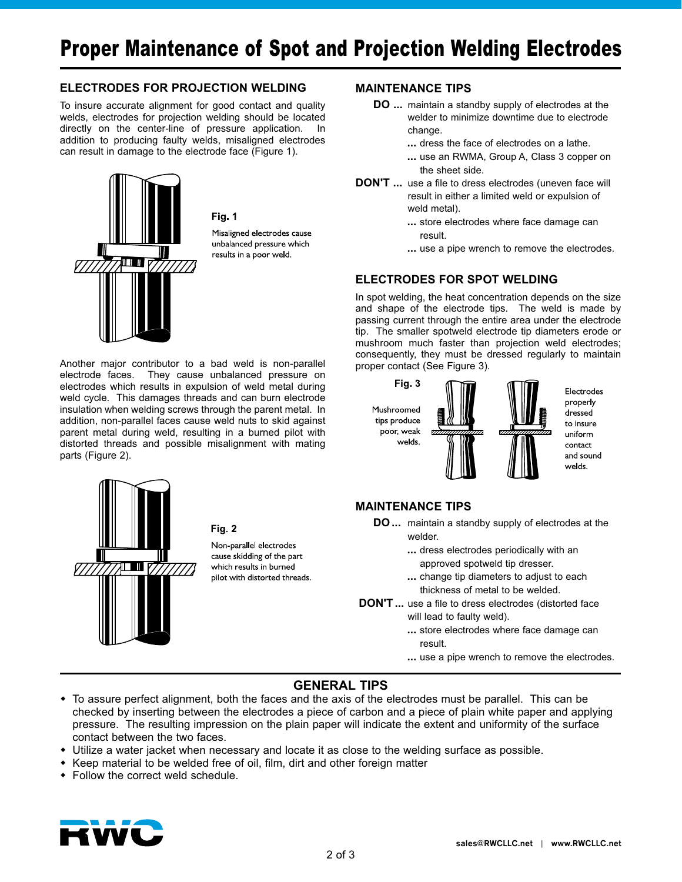#### **ELECTRODES FOR PROJECTION WELDING**

To insure accurate alignment for good contact and quality welds, electrodes for projection welding should be located directly on the center-line of pressure application. In addition to producing faulty welds, misaligned electrodes can result in damage to the electrode face (Figure 1).



Fig. 1

Misaligned electrodes cause unbalanced pressure which results in a poor weld.

Another major contributor to a bad weld is non-parallel electrode faces. They cause unbalanced pressure on electrodes which results in expulsion of weld metal during weld cycle. This damages threads and can burn electrode insulation when welding screws through the parent metal. In addition, non-parallel faces cause weld nuts to skid against parent metal during weld, resulting in a burned pilot with distorted threads and possible misalignment with mating parts (Figure 2).



#### Fig. 2

Non-parallel electrodes cause skidding of the part which results in burned pilot with distorted threads.

#### **MAINTENANCE TIPS**

- **DO** ... maintain a standby supply of electrodes at the welder to minimize downtime due to electrode change.
	- **...** dress the face of electrodes on a lathe.
	- **...** use an RWMA, Group A, Class 3 copper on the sheet side.
- **DON'T** ... use a file to dress electrodes (uneven face will result in either a limited weld or expulsion of weld metal).
	- **...** store electrodes where face damage can result.
	- **...** use a pipe wrench to remove the electrodes.

#### **ELECTRODES FOR SPOT WELDING**

In spot welding, the heat concentration depends on the size and shape of the electrode tips. The weld is made by passing current through the entire area under the electrode tip. The smaller spotweld electrode tip diameters erode or mushroom much faster than projection weld electrodes; consequently, they must be dressed regularly to maintain proper contact (See Figure 3).



Electrodes properly dressed to insure uniform contact and sound welds.

#### **MAINTENANCE TIPS**

- **DO** ... maintain a standby supply of electrodes at the welder.
	- **...** dress electrodes periodically with an approved spotweld tip dresser.
	- **...** change tip diameters to adjust to each thickness of metal to be welded.
- **DON'T** ... use a file to dress electrodes (distorted face will lead to faulty weld).
	- **...** store electrodes where face damage can result.
	- **...** use a pipe wrench to remove the electrodes.

#### **GENERAL TIPS**

- To assure perfect alignment, both the faces and the axis of the electrodes must be parallel. This can be checked by inserting between the electrodes a piece of carbon and a piece of plain white paper and applying pressure. The resulting impression on the plain paper will indicate the extent and uniformity of the surface contact between the two faces.
- Utilize a water jacket when necessary and locate it as close to the welding surface as possible.
- Keep material to be welded free of oil, film, dirt and other foreign matter
- $\bullet$  Follow the correct weld schedule.